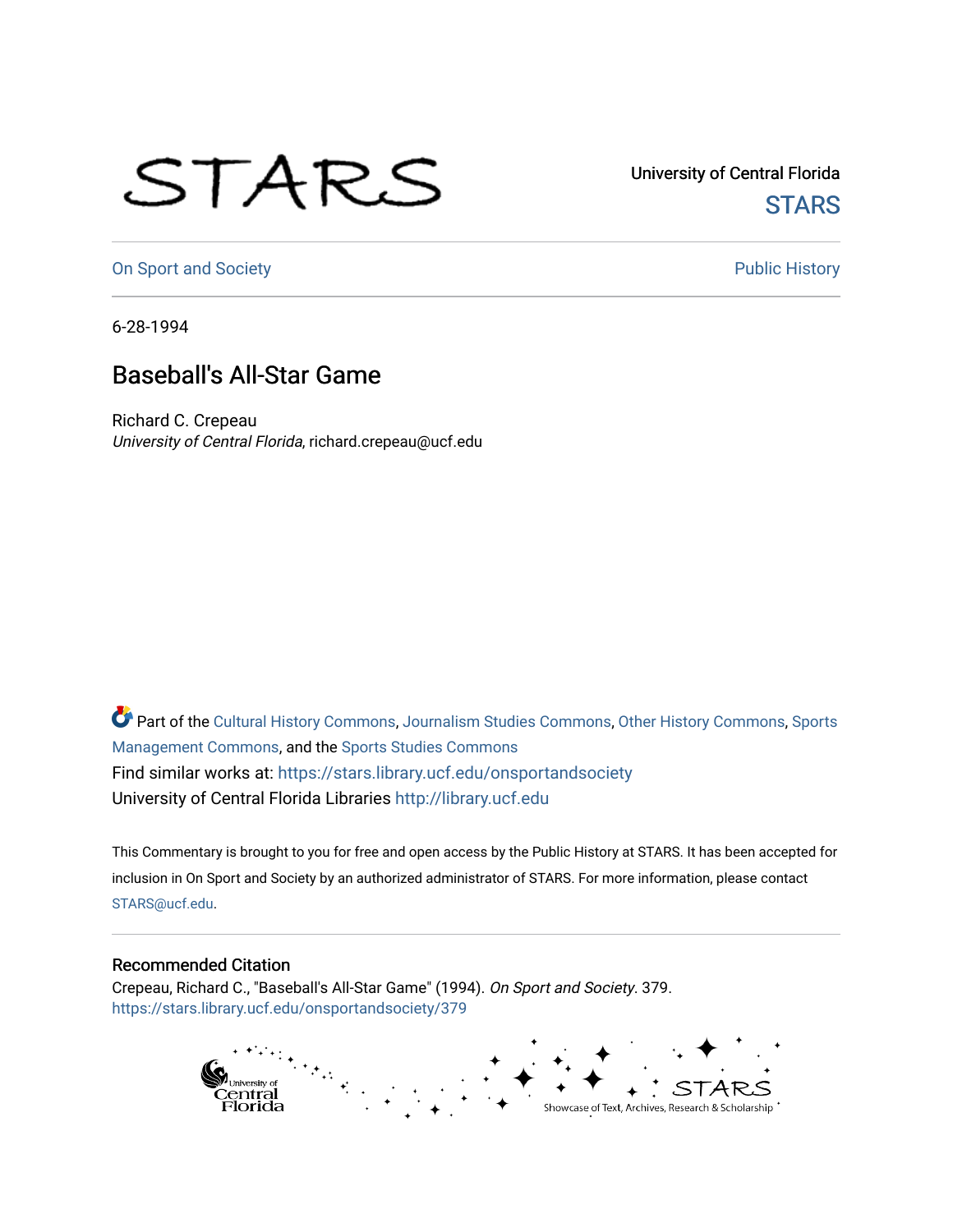## STARS

University of Central Florida **STARS** 

[On Sport and Society](https://stars.library.ucf.edu/onsportandsociety) **Public History** Public History

6-28-1994

## Baseball's All-Star Game

Richard C. Crepeau University of Central Florida, richard.crepeau@ucf.edu

Part of the [Cultural History Commons](http://network.bepress.com/hgg/discipline/496?utm_source=stars.library.ucf.edu%2Fonsportandsociety%2F379&utm_medium=PDF&utm_campaign=PDFCoverPages), [Journalism Studies Commons,](http://network.bepress.com/hgg/discipline/333?utm_source=stars.library.ucf.edu%2Fonsportandsociety%2F379&utm_medium=PDF&utm_campaign=PDFCoverPages) [Other History Commons,](http://network.bepress.com/hgg/discipline/508?utm_source=stars.library.ucf.edu%2Fonsportandsociety%2F379&utm_medium=PDF&utm_campaign=PDFCoverPages) [Sports](http://network.bepress.com/hgg/discipline/1193?utm_source=stars.library.ucf.edu%2Fonsportandsociety%2F379&utm_medium=PDF&utm_campaign=PDFCoverPages) [Management Commons](http://network.bepress.com/hgg/discipline/1193?utm_source=stars.library.ucf.edu%2Fonsportandsociety%2F379&utm_medium=PDF&utm_campaign=PDFCoverPages), and the [Sports Studies Commons](http://network.bepress.com/hgg/discipline/1198?utm_source=stars.library.ucf.edu%2Fonsportandsociety%2F379&utm_medium=PDF&utm_campaign=PDFCoverPages) Find similar works at: <https://stars.library.ucf.edu/onsportandsociety> University of Central Florida Libraries [http://library.ucf.edu](http://library.ucf.edu/) 

This Commentary is brought to you for free and open access by the Public History at STARS. It has been accepted for inclusion in On Sport and Society by an authorized administrator of STARS. For more information, please contact [STARS@ucf.edu](mailto:STARS@ucf.edu).

## Recommended Citation

Crepeau, Richard C., "Baseball's All-Star Game" (1994). On Sport and Society. 379. [https://stars.library.ucf.edu/onsportandsociety/379](https://stars.library.ucf.edu/onsportandsociety/379?utm_source=stars.library.ucf.edu%2Fonsportandsociety%2F379&utm_medium=PDF&utm_campaign=PDFCoverPages)

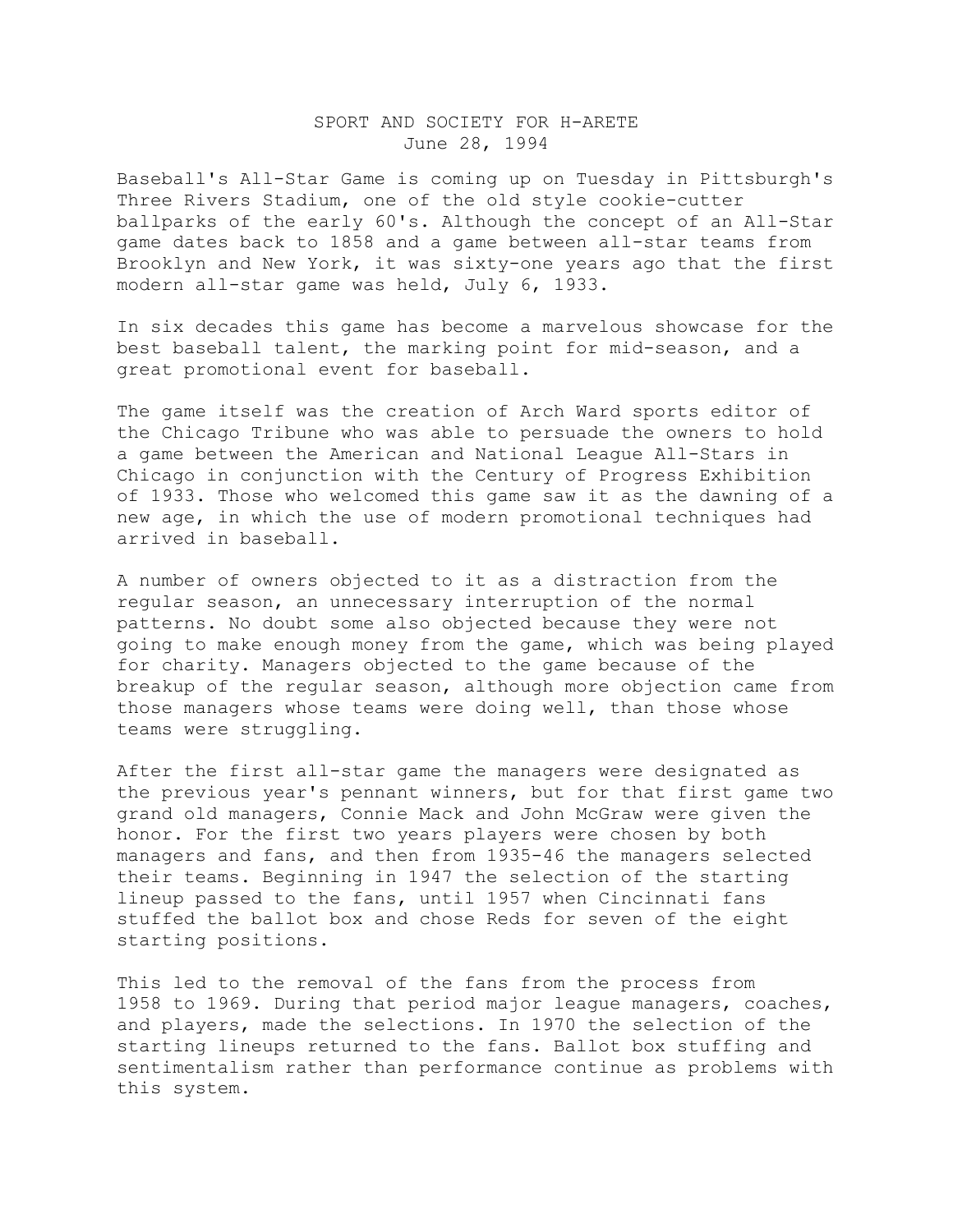## SPORT AND SOCIETY FOR H-ARETE June 28, 1994

Baseball's All-Star Game is coming up on Tuesday in Pittsburgh's Three Rivers Stadium, one of the old style cookie-cutter ballparks of the early 60's. Although the concept of an All-Star game dates back to 1858 and a game between all-star teams from Brooklyn and New York, it was sixty-one years ago that the first modern all-star game was held, July 6, 1933.

In six decades this game has become a marvelous showcase for the best baseball talent, the marking point for mid-season, and a great promotional event for baseball.

The game itself was the creation of Arch Ward sports editor of the Chicago Tribune who was able to persuade the owners to hold a game between the American and National League All-Stars in Chicago in conjunction with the Century of Progress Exhibition of 1933. Those who welcomed this game saw it as the dawning of a new age, in which the use of modern promotional techniques had arrived in baseball.

A number of owners objected to it as a distraction from the regular season, an unnecessary interruption of the normal patterns. No doubt some also objected because they were not going to make enough money from the game, which was being played for charity. Managers objected to the game because of the breakup of the regular season, although more objection came from those managers whose teams were doing well, than those whose teams were struggling.

After the first all-star game the managers were designated as the previous year's pennant winners, but for that first game two grand old managers, Connie Mack and John McGraw were given the honor. For the first two years players were chosen by both managers and fans, and then from 1935-46 the managers selected their teams. Beginning in 1947 the selection of the starting lineup passed to the fans, until 1957 when Cincinnati fans stuffed the ballot box and chose Reds for seven of the eight starting positions.

This led to the removal of the fans from the process from 1958 to 1969. During that period major league managers, coaches, and players, made the selections. In 1970 the selection of the starting lineups returned to the fans. Ballot box stuffing and sentimentalism rather than performance continue as problems with this system.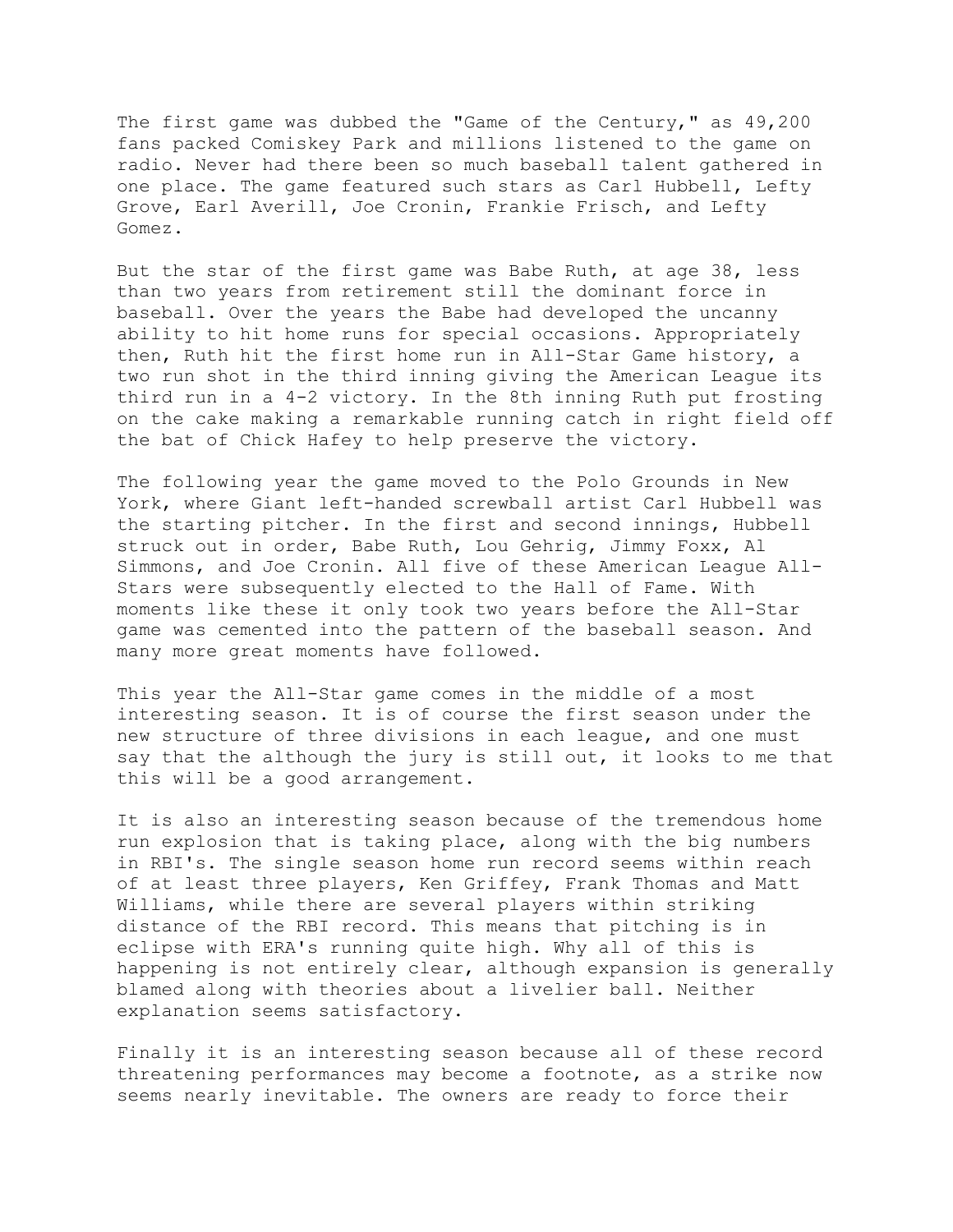The first game was dubbed the "Game of the Century," as 49,200 fans packed Comiskey Park and millions listened to the game on radio. Never had there been so much baseball talent gathered in one place. The game featured such stars as Carl Hubbell, Lefty Grove, Earl Averill, Joe Cronin, Frankie Frisch, and Lefty Gomez.

But the star of the first game was Babe Ruth, at age 38, less than two years from retirement still the dominant force in baseball. Over the years the Babe had developed the uncanny ability to hit home runs for special occasions. Appropriately then, Ruth hit the first home run in All-Star Game history, a two run shot in the third inning giving the American League its third run in a 4-2 victory. In the 8th inning Ruth put frosting on the cake making a remarkable running catch in right field off the bat of Chick Hafey to help preserve the victory.

The following year the game moved to the Polo Grounds in New York, where Giant left-handed screwball artist Carl Hubbell was the starting pitcher. In the first and second innings, Hubbell struck out in order, Babe Ruth, Lou Gehrig, Jimmy Foxx, Al Simmons, and Joe Cronin. All five of these American League All-Stars were subsequently elected to the Hall of Fame. With moments like these it only took two years before the All-Star game was cemented into the pattern of the baseball season. And many more great moments have followed.

This year the All-Star game comes in the middle of a most interesting season. It is of course the first season under the new structure of three divisions in each league, and one must say that the although the jury is still out, it looks to me that this will be a good arrangement.

It is also an interesting season because of the tremendous home run explosion that is taking place, along with the big numbers in RBI's. The single season home run record seems within reach of at least three players, Ken Griffey, Frank Thomas and Matt Williams, while there are several players within striking distance of the RBI record. This means that pitching is in eclipse with ERA's running quite high. Why all of this is happening is not entirely clear, although expansion is generally blamed along with theories about a livelier ball. Neither explanation seems satisfactory.

Finally it is an interesting season because all of these record threatening performances may become a footnote, as a strike now seems nearly inevitable. The owners are ready to force their